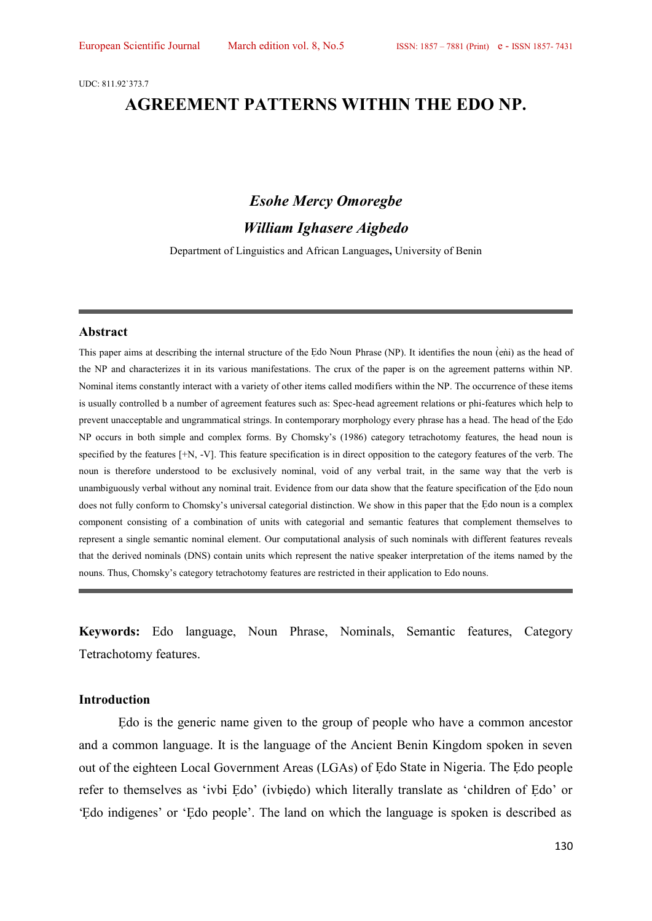UDC: 811.92`373.7

# **AGREEMENT PATTERNS WITHIN THE EDO NP.**

### *Esohe Mercy Omoregbe*

### *William Ighasere Aigbedo*

Department of Linguistics and African Languages**,** University of Benin

#### **Abstract**

This paper aims at describing the internal structure of the Edo Noun Phrase (NP). It identifies the noun (enti) as the head of the NP and characterizes it in its various manifestations. The crux of the paper is on the agreement patterns within NP. Nominal items constantly interact with a variety of other items called modifiers within the NP. The occurrence of these items is usually controlled b a number of agreement features such as: Spec-head agreement relations or phi-features which help to prevent unacceptable and ungrammatical strings. In contemporary morphology every phrase has a head. The head of the Ẹdo NP occurs in both simple and complex forms. By Chomsky's (1986) category tetrachotomy features, the head noun is specified by the features  $[+N, -V]$ . This feature specification is in direct opposition to the category features of the verb. The noun is therefore understood to be exclusively nominal, void of any verbal trait, in the same way that the verb is unambiguously verbal without any nominal trait. Evidence from our data show that the feature specification of the Ẹdo noun does not fully conform to Chomsky's universal categorial distinction. We show in this paper that the Ẹdo noun is a complex component consisting of a combination of units with categorial and semantic features that complement themselves to represent a single semantic nominal element. Our computational analysis of such nominals with different features reveals that the derived nominals (DNS) contain units which represent the native speaker interpretation of the items named by the nouns. Thus, Chomsky's category tetrachotomy features are restricted in their application to Edo nouns.

**Keywords:** Edo language, Noun Phrase, Nominals, Semantic features, Category Tetrachotomy features.

#### **Introduction**

Edo is the generic name given to the group of people who have a common ancestor and a common language. It is the language of the Ancient Benin Kingdom spoken in seven out of the eighteen Local Government Areas (LGAs) of Ẹdo State in Nigeria. The Ẹdo people refer to themselves as 'ivbi Edo' (ivbiedo) which literally translate as 'children of Edo' or 'Ẹdo indigenes' or 'Ẹdo people'. The land on which the language is spoken is described as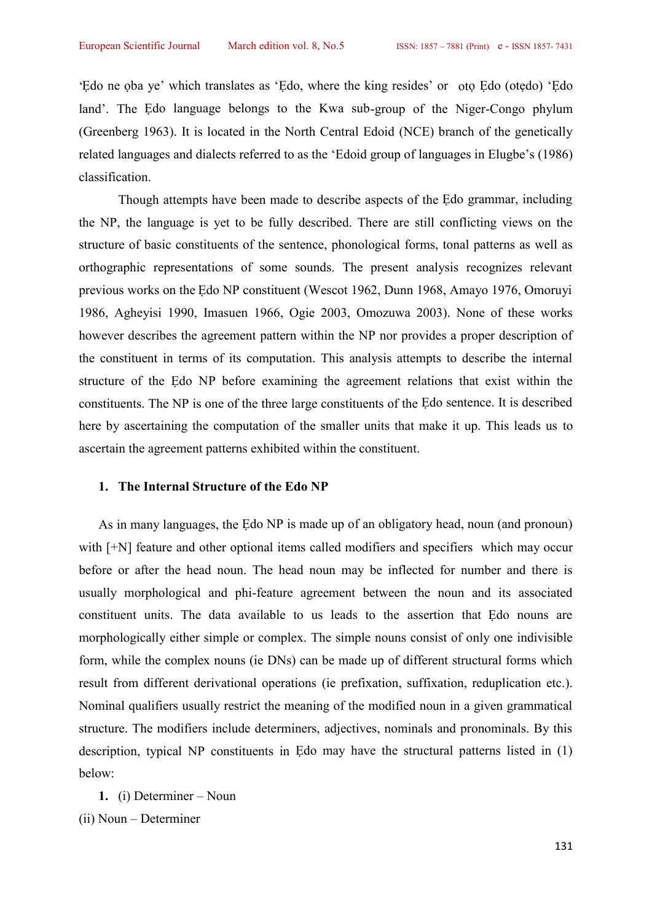'Ẹdo ne ọba ye' which translates as 'Ẹdo, where the king resides' or otọ Ẹdo (otẹdo) 'Ẹdo land'. The Edo language belongs to the Kwa sub-group of the Niger-Congo phylum (Greenberg 1963). It is located in the North Central Edoid (NCE) branch of the genetically related languages and dialects referred to as the 'Edoid group of languages in Elugbe's (1986) classification.

Though attempts have been made to describe aspects of the Ẹdo grammar, including the NP, the language is yet to be fully described. There are still conflicting views on the structure of basic constituents of the sentence, phonological forms, tonal patterns as well as orthographic representations of some sounds. The present analysis recognizes relevant previous works on the Ẹdo NP constituent (Wescot 1962, Dunn 1968, Amayo 1976, Omoruyi 1986, Agheyisi 1990, Imasuen 1966, Ogie 2003, Omozuwa 2003). None of these works however describes the agreement pattern within the NP nor provides a proper description of the constituent in terms of its computation. This analysis attempts to describe the internal structure of the Edo NP before examining the agreement relations that exist within the constituents. The NP is one of the three large constituents of the Ẹdo sentence. It is described here by ascertaining the computation of the smaller units that make it up. This leads us to ascertain the agreement patterns exhibited within the constituent.

### **1. The Internal Structure of the Edo NP**

As in many languages, the Edo NP is made up of an obligatory head, noun (and pronoun) with  $[+N]$  feature and other optional items called modifiers and specifiers which may occur before or after the head noun. The head noun may be inflected for number and there is usually morphological and phi-feature agreement between the noun and its associated constituent units. The data available to us leads to the assertion that Ẹdo nouns are morphologically either simple or complex. The simple nouns consist of only one indivisible form, while the complex nouns (ie DNs) can be made up of different structural forms which result from different derivational operations (ie prefixation, suffixation, reduplication etc.). Nominal qualifiers usually restrict the meaning of the modified noun in a given grammatical structure. The modifiers include determiners, adjectives, nominals and pronominals. By this description, typical NP constituents in Edo may have the structural patterns listed in (1) below:

**1.** (i) Determiner – Noun (ii) Noun – Determiner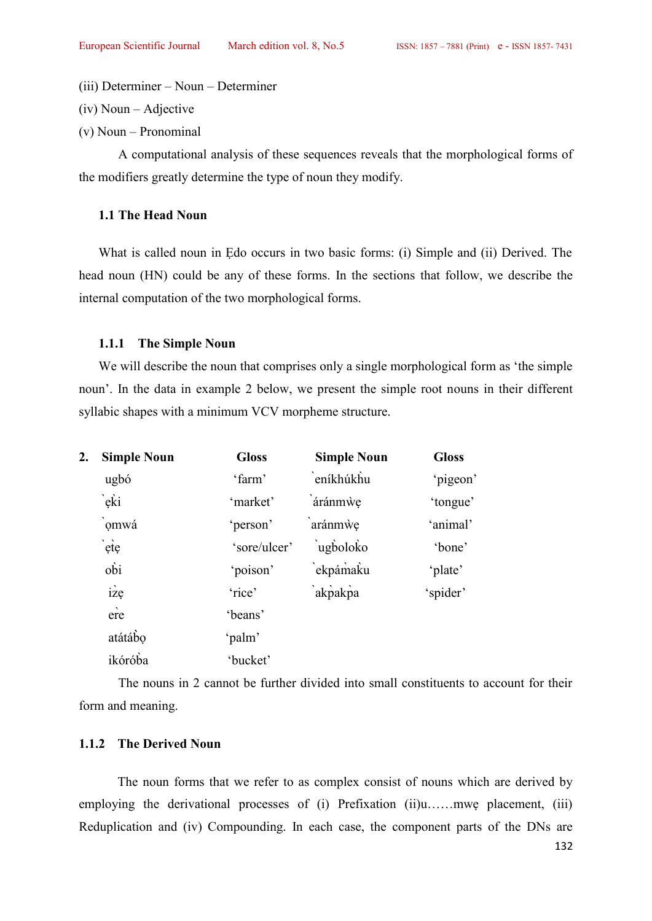(iii) Determiner – Noun – Determiner

(iv) Noun – Adjective

(v) Noun – Pronominal

A computational analysis of these sequences reveals that the morphological forms of the modifiers greatly determine the type of noun they modify.

# **1.1 The Head Noun**

What is called noun in Edo occurs in two basic forms: (i) Simple and (ii) Derived. The head noun (HN) could be any of these forms. In the sections that follow, we describe the internal computation of the two morphological forms.

#### **1.1.1 The Simple Noun**

We will describe the noun that comprises only a single morphological form as 'the simple noun'. In the data in example 2 below, we present the simple root nouns in their different syllabic shapes with a minimum VCV morpheme structure.

| 2. | <b>Simple Noun</b>              | <b>Gloss</b> | <b>Simple Noun</b> | <b>Gloss</b> |
|----|---------------------------------|--------------|--------------------|--------------|
|    | ugbó                            | 'farm'       | eníkhúkhu          | 'pigeon'     |
|    | `eki                            | 'market'     | áránmwe            | 'tongue'     |
|    | omwá                            | 'person'     | aránmwe            | 'animal'     |
|    | ète                             | 'sore/ulcer' | ugboloko           | 'bone'       |
|    | obi                             | 'poison'     | `ekpámaku          | 'plate'      |
|    | $iz$ e                          | 'rice'       | akpakpa            | 'spider'     |
|    | $\overline{\phantom{a}}$<br>ere | 'beans'      |                    |              |
|    | atátábo                         | 'palm'       |                    |              |
|    | ikóróba                         | 'bucket'     |                    |              |

The nouns in 2 cannot be further divided into small constituents to account for their form and meaning.

### **1.1.2 The Derived Noun**

The noun forms that we refer to as complex consist of nouns which are derived by employing the derivational processes of (i) Prefixation (ii)u……mwe placement, (iii) Reduplication and (iv) Compounding. In each case, the component parts of the DNs are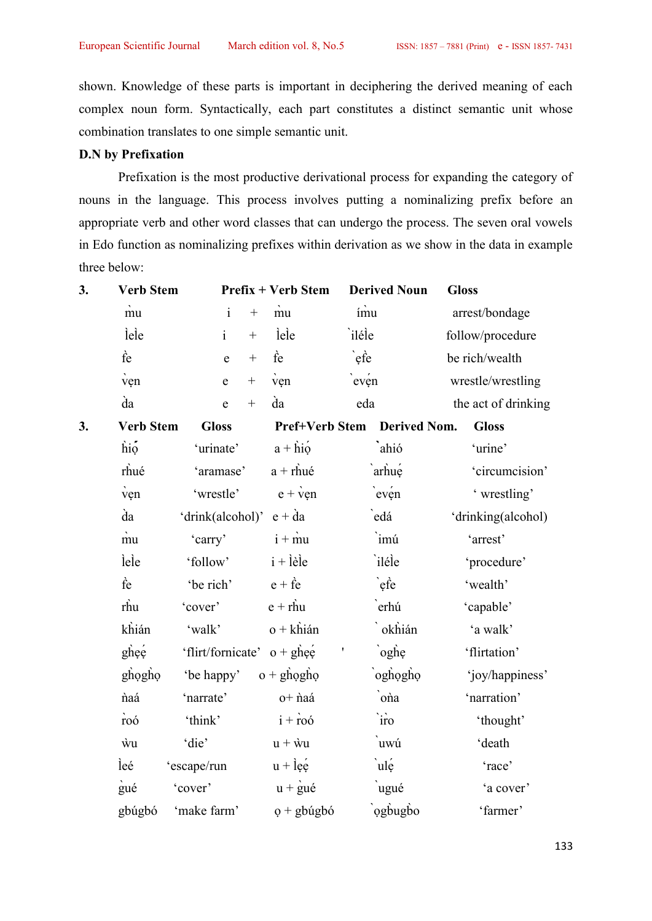shown. Knowledge of these parts is important in deciphering the derived meaning of each complex noun form. Syntactically, each part constitutes a distinct semantic unit whose combination translates to one simple semantic unit.

# **D.N by Prefixation**

Prefixation is the most productive derivational process for expanding the category of nouns in the language. This process involves putting a nominalizing prefix before an appropriate verb and other word classes that can undergo the process. The seven oral vowels three below:

|    |                  |                                 |                                                     |                             | in Edo function as nominalizing prefixes within derivation as we show in the data in example |
|----|------------------|---------------------------------|-----------------------------------------------------|-----------------------------|----------------------------------------------------------------------------------------------|
|    | three below:     |                                 |                                                     |                             |                                                                                              |
| 3. | <b>Verb Stem</b> |                                 | <b>Prefix + Verb Stem</b>                           | <b>Derived Noun</b>         | <b>Gloss</b>                                                                                 |
|    | mu               | $\mathbf{i}$                    | mu<br>$\boldsymbol{+}$                              | ímu                         | arrest/bondage                                                                               |
|    | lele             | $\mathbf{i}$                    | lele                                                | `iléle                      | follow/procedure                                                                             |
|    | fe               | $\boldsymbol{+}$<br>${\bf e}$   | fe                                                  | $\cdot$ efe                 | be rich/wealth                                                                               |
|    | ven              | $\boldsymbol{+}$<br>$\mathbf e$ | ven                                                 | $e^{i\theta}$               | wrestle/wrestling                                                                            |
|    | da               | $\! +$<br>$\mathbf e$           | da                                                  | eda                         | the act of drinking                                                                          |
| 3. | <b>Verb Stem</b> | <b>Gloss</b>                    |                                                     | Pref+Verb Stem Derived Nom. | <b>Gloss</b>                                                                                 |
|    | hiọ              | 'urinate'                       | $a + \overrightarrow{h}i\overset{\text{.}}{\Omega}$ | ahió                        | 'urine'                                                                                      |
|    | rhué             | 'aramase'                       | $a + rhu\acute{e}$                                  | arhue                       | 'circumcision'                                                                               |
|    | ven              | 'wrestle'                       | $e + \dot{v}$ en                                    | $e^{i\theta}$               | ' wrestling'                                                                                 |
|    | da               | 'drink(alcohol)' $e + da$       |                                                     | edá                         | 'drinking(alcohol)                                                                           |
|    | $\dot{m}$ u      | 'carry'                         | $i + m$                                             | imú                         | 'arrest'                                                                                     |
|    | lele             | 'follow'                        | $i + l$ èle                                         | iléle                       | 'procedure'                                                                                  |
|    | fe               | 'be rich'                       | $e + \hat{f}e$                                      | $\cdot$ efe                 | 'wealth'                                                                                     |
|    | rhu              | 'cover'                         | $e + rhu$                                           | erhú                        | 'capable'                                                                                    |
|    | khián            | 'walk'                          | $o + kh$ ián                                        | `okhián                     | 'a walk'                                                                                     |
|    | ghee             | 'flirt/fornicate' $o + gh$ ee   |                                                     | oghe                        | 'flirtation'                                                                                 |
|    | ghọghọ           | 'be happy'                      | $o + ghogho$                                        | oghogho                     | 'joy/happiness'                                                                              |
|    | naá              | 'narrate'                       | o+ naá                                              | ona                         | 'narration'                                                                                  |
|    | roó              | 'think'                         | $i + r\overline{00}$                                | `iro                        | 'thought'                                                                                    |
|    | ŵи               | 'die'                           | $u + \dot{w}u$                                      | uwú                         | 'death                                                                                       |
|    | leé              | 'escape/run                     | $u + \hat{e}$                                       | $ul$ e                      | 'race'                                                                                       |
|    | gué              | 'cover'                         | $u + \dot{g}u\acute{e}$                             | ugué                        | 'a cover'                                                                                    |
|    | gbúgbó           | 'make farm'                     | $o + g$ búgbó                                       | ogbugbo                     | 'farmer'                                                                                     |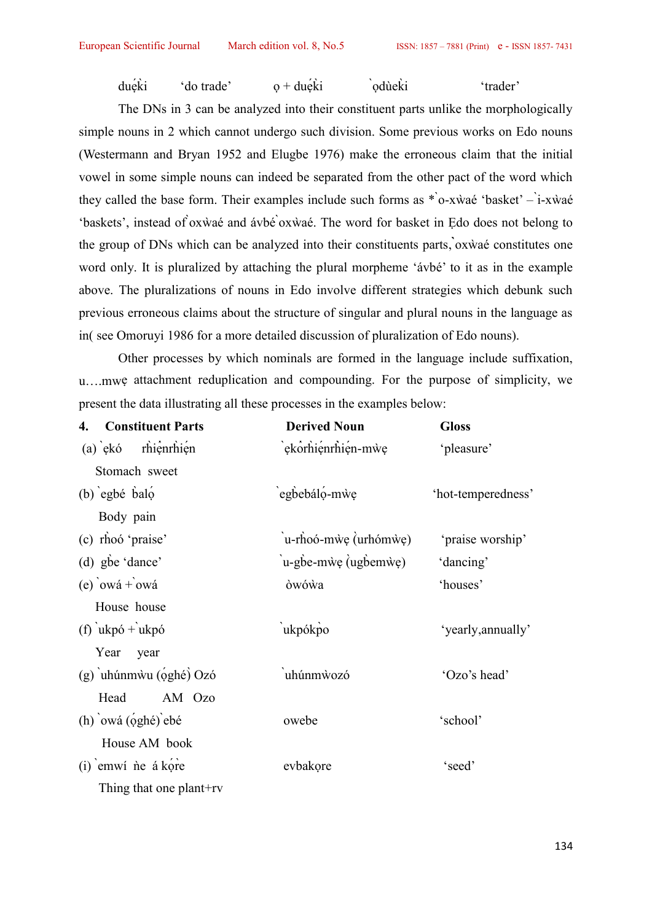$du\acute{e}\acute{k}i$  'do trade'  $o + du\acute{e}\acute{k}i$  'odùekì 'trader'

The DNs in 3 can be analyzed into their constituent parts unlike the morphologically simple nouns in 2 which cannot undergo such division. Some previous works on Edo nouns (Westermann and Bryan 1952 and Elugbe 1976) make the erroneous claim that the initial vowel in some simple nouns can indeed be separated from the other pact of the word which they called the base form. Their examples include such forms as \* ̀o-xẁaé 'basket' – ̀i-xẁaé 'baskets', instead of ̀oxẁaé and ávbé ̀oxẁaé. The word for basket in Ẹdo does not belong to the group of DNs which can be analyzed into their constituents parts, ̀oxẁaé constitutes one word only. It is pluralized by attaching the plural morpheme 'ávbé' to it as in the example above. The pluralizations of nouns in Edo involve different strategies which debunk such previous erroneous claims about the structure of singular and plural nouns in the language as in( see Omoruyi 1986 for a more detailed discussion of pluralization of Edo nouns).

Other processes by which nominals are formed in the language include suffixation, present the data illustrating all these processes in the examples below:

| umwe attachment reduplication and compounding. For the purpose of simplicity, we |                                         |                    |
|----------------------------------------------------------------------------------|-----------------------------------------|--------------------|
| present the data illustrating all these processes in the examples below:         |                                         |                    |
| <b>Constituent Parts</b><br>4.                                                   | <b>Derived Noun</b>                     | <b>Gloss</b>       |
| rhiệnrhiện<br>$(a)$ ekó                                                          | `ekôrhiénrhién-mẁe                      | 'pleasure'         |
| Stomach sweet                                                                    |                                         |                    |
| $(b)$ egbé balo                                                                  | egbebáló-mẁe                            | 'hot-temperedness' |
| Body pain                                                                        |                                         |                    |
| (c) rhoó 'praise'                                                                | $\mu$ -rhoó-m $\psi$ e (urhóm $\psi$ e) | 'praise worship'   |
| (d) gbe 'dance'                                                                  | $\mu$ -gbe-m $\psi$ e (ugbem $\psi$ e)  | 'dancing'          |
| (e) $owá + owá$                                                                  | òwówa                                   | 'houses'           |
| House house                                                                      |                                         |                    |
| $(f)$ ukpó + ukpó                                                                | ukpókpo                                 | 'yearly, annually' |
| Year<br>year                                                                     |                                         |                    |
| (g) uhúnmwu (oghé) Ozó                                                           | uhúnmwozó                               | 'Ozo's head'       |
| Head<br>AM Ozo                                                                   |                                         |                    |
| $(h)$ owá $(qghé)$ ebé                                                           | owebe                                   | 'school'           |
| House AM book                                                                    |                                         |                    |
| (i) emwi ne á kore                                                               | evbakore                                | 'seed'             |
| Thing that one plant+rv                                                          |                                         |                    |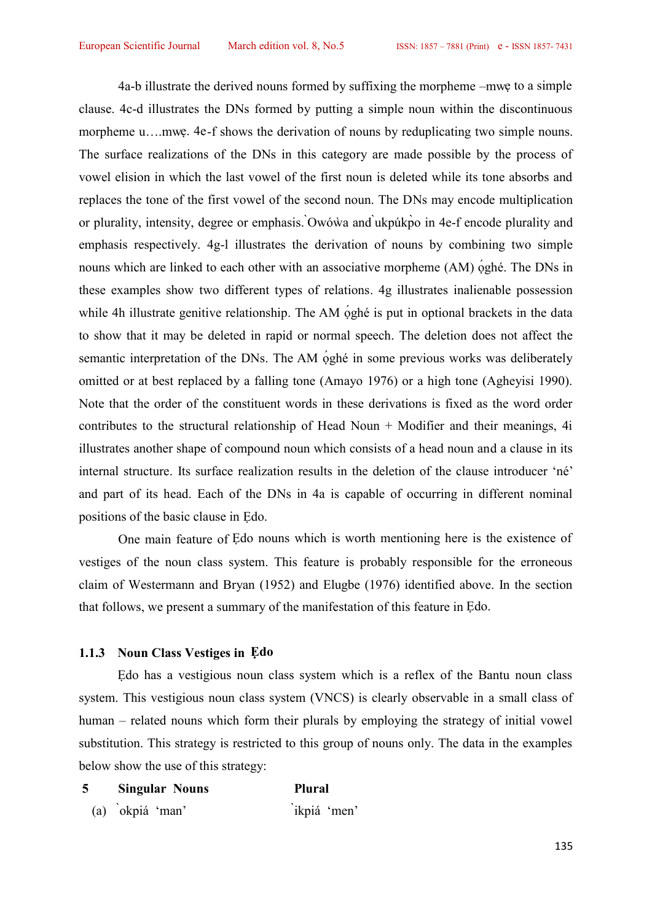4a-b illustrate the derived nouns formed by suffixing the morpheme –mwẹ to a simple clause. 4c-d illustrates the DNs formed by putting a simple noun within the discontinuous morpheme u....mwe. 4e-f shows the derivation of nouns by reduplicating two simple nouns. The surface realizations of the DNs in this category are made possible by the process of vowel elision in which the last vowel of the first noun is deleted while its tone absorbs and replaces the tone of the first vowel of the second noun. The DNs may encode multiplication or plurality, intensity, degree or emphasis. ̀Owóẁa and ̀ukpúkp̀o in 4e-f encode plurality and emphasis respectively. 4g-l illustrates the derivation of nouns by combining two simple nouns which are linked to each other with an associative morpheme (AM) oghé. The DNs in these examples show two different types of relations. 4g illustrates inalienable possession while 4h illustrate genitive relationship. The AM <u>oghé is</u> put in optional brackets in the data to show that it may be deleted in rapid or normal speech. The deletion does not affect the semantic interpretation of the DNs. The AM <u>o</u>ghé in some previous works was deliberately omitted or at best replaced by a falling tone (Amayo 1976) or a high tone (Agheyisi 1990). Note that the order of the constituent words in these derivations is fixed as the word order contributes to the structural relationship of Head Noun + Modifier and their meanings, 4i illustrates another shape of compound noun which consists of a head noun and a clause in its internal structure. Its surface realization results in the deletion of the clause introducer 'né' and part of its head. Each of the DNs in 4a is capable of occurring in different nominal positions of the basic clause in Ẹdo.

One main feature of Ẹdo nouns which is worth mentioning here is the existence of vestiges of the noun class system. This feature is probably responsible for the erroneous claim of Westermann and Bryan (1952) and Elugbe (1976) identified above. In the section that follows, we present a summary of the manifestation of this feature in Ẹdo.

# **1.1.3 Noun Class Vestiges in Ẹdo**

Edo has a vestigious noun class system which is a reflex of the Bantu noun class system. This vestigious noun class system (VNCS) is clearly observable in a small class of human – related nouns which form their plurals by employing the strategy of initial vowel substitution. This strategy is restricted to this group of nouns only. The data in the examples below show the use of this strategy:

| <b>Singular Nouns</b> | <b>Plural</b> |
|-----------------------|---------------|
| (a) okpiá 'man'       | ikpiá 'men'   |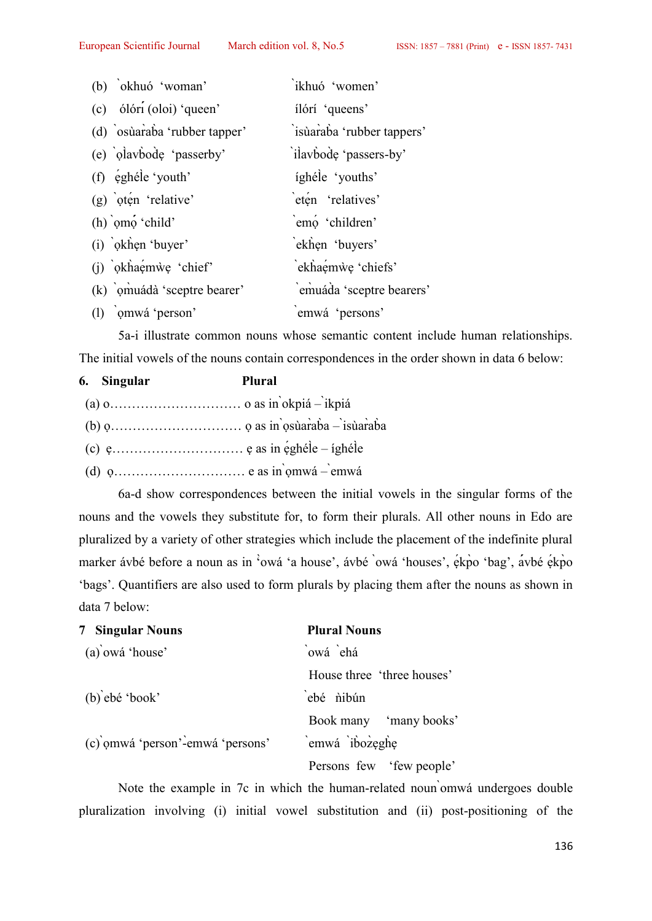| (b) okhuó 'woman'            | ikhuó 'women'             |
|------------------------------|---------------------------|
| (c) ólóri (oloi) 'queen'     | ílórí 'queens'            |
| (d) osùaraba 'rubber tapper' | isùaraba 'rubber tappers' |
| (e) olavbode 'passerby'      | ilavbode 'passers-by'     |
| (f) éghéle 'youth'           | íghéle 'youths'           |
| $(g)$ oten 'relative'        | eten 'relatives'          |
| $(h)$ omo 'child'            | emo 'children'            |
| (i) okhen 'buyer'            | ekhen 'buyers'            |
| (j) okhaemwe 'chief'         | ekhaemwe 'chiefs'         |
| (k) omuádà 'sceptre bearer'  | emuáda 'sceptre bearers'  |
| (1) omwá 'person'            | emwá 'persons'            |

5a-i illustrate common nouns whose semantic content include human relationships.

| The initial vowels of the nouns contain correspondences in the order shown in data 6 below: |             |        |  |  |
|---------------------------------------------------------------------------------------------|-------------|--------|--|--|
|                                                                                             | 6. Singular | Plural |  |  |
|                                                                                             |             |        |  |  |
|                                                                                             |             |        |  |  |
|                                                                                             |             |        |  |  |
|                                                                                             |             |        |  |  |
|                                                                                             |             |        |  |  |

6a-d show correspondences between the initial vowels in the singular forms of the nouns and the vowels they substitute for, to form their plurals. All other nouns in Edo are pluralized by a variety of other strategies which include the placement of the indefinite plural marker ávbé before a noun as in 'owá 'a house', ávbé `owá 'houses', ékpo 'bag', avbé ékpo 'bags'. Quantifiers are also used to form plurals by placing them after the nouns as shown in data 7 below:

| <b>7 Singular Nouns</b>          | <b>Plural Nouns</b>        |
|----------------------------------|----------------------------|
| (a) owá 'house'                  | `owá `ehá                  |
|                                  | House three 'three houses' |
| $(b)$ ebé 'book'                 | ebé nibún                  |
|                                  | Book many 'many books'     |
| (c) omwá 'person'-emwá 'persons' | emwá ibozeghe              |
|                                  | Persons few 'few people'   |

Note the example in 7c in which the human-related noun ̀omwá undergoes double pluralization involving (i) initial vowel substitution and (ii) post-positioning of the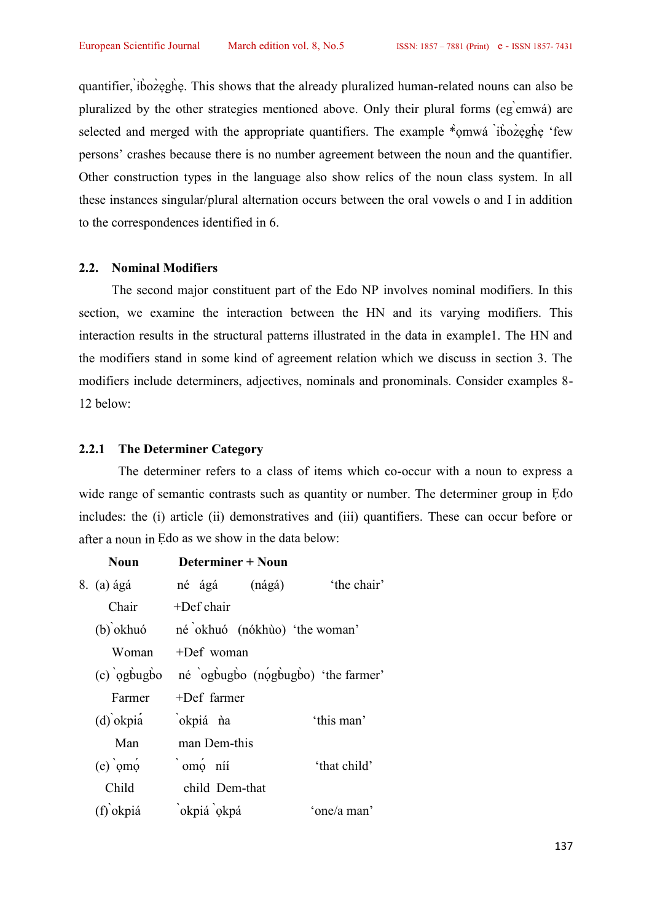quantifier, ̀ib̀oz̀ẹgh̀ẹ. This shows that the already pluralized human-related nouns can also be pluralized by the other strategies mentioned above. Only their plural forms (eg ̀emwá) are selected and merged with the appropriate quantifiers. The example  $*$ <sup>omwá `ib`oz`egh`e</sup> 'few persons' crashes because there is no number agreement between the noun and the quantifier. Other construction types in the language also show relics of the noun class system. In all these instances singular/plural alternation occurs between the oral vowels o and I in addition to the correspondences identified in 6.

#### **2.2. Nominal Modifiers**

The second major constituent part of the Edo NP involves nominal modifiers. In this section, we examine the interaction between the HN and its varying modifiers. This interaction results in the structural patterns illustrated in the data in example1. The HN and the modifiers stand in some kind of agreement relation which we discuss in section 3. The modifiers include determiners, adjectives, nominals and pronominals. Consider examples 8- 12 below:

# **2.2.1 The Determiner Category**

The determiner refers to a class of items which co-occur with a noun to express a wide range of semantic contrasts such as quantity or number. The determiner group in Edo includes: the (i) article (ii) demonstratives and (iii) quantifiers. These can occur before or after a noun in Ẹdo as we show in the data below:

| Noun        | Determiner + Noun                              |        |              |  |
|-------------|------------------------------------------------|--------|--------------|--|
| 8. (a) ágá  | né ágá                                         | (nágá) | the chair'   |  |
| Chair       | $+$ Def chair                                  |        |              |  |
| $(b)$ okhuó | né okhuó (nókhùo) 'the woman'                  |        |              |  |
| Woman       | $+$ Def woman                                  |        |              |  |
|             | (c) ogbugbo né ogbugbo (nogbugbo) 'the farmer' |        |              |  |
| Farmer      | $+$ Def farmer                                 |        |              |  |
| $(d)$ okpia | okpiá na                                       |        | 'this man'   |  |
| Man         | man Dem-this                                   |        |              |  |
| $(e)$ omo   | `omo níi                                       |        | 'that child' |  |
| Child       | child Dem-that                                 |        |              |  |
| (f) okpiá   | okpiá okpá                                     |        | 'one/a man'  |  |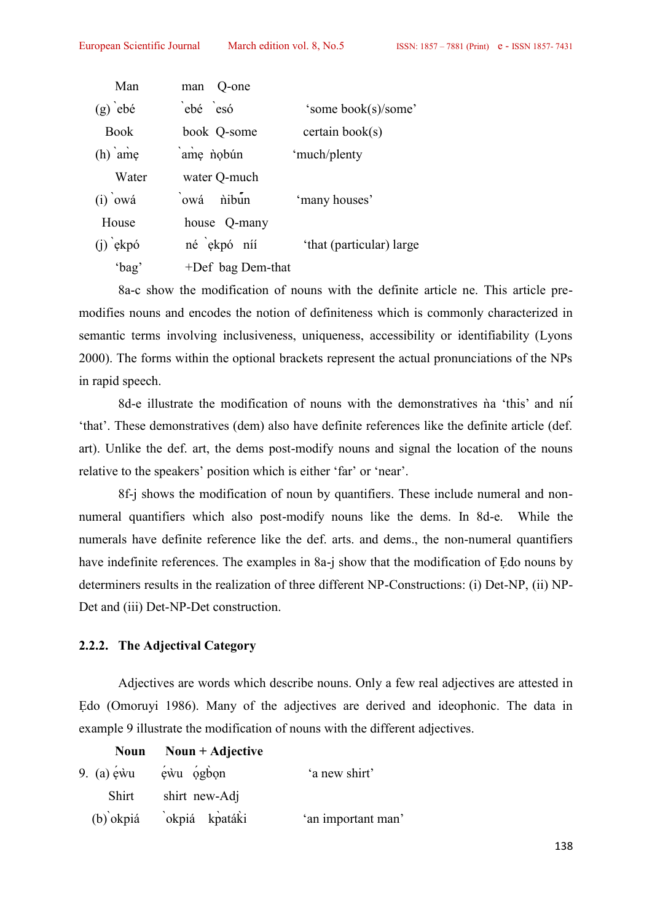| Man         | man Q-one            |                          |
|-------------|----------------------|--------------------------|
| $(g)$ ebé   | ebé esó              | 'some book(s)/some'      |
| <b>Book</b> | book Q-some          | certain book(s)          |
| $(h)$ ame   | ame nobún            | 'much/plenty             |
| Water       | water Q-much         |                          |
| $(i)$ owá   | owá nibun            | 'many houses'            |
| House       | house Q-many         |                          |
| $(i)$ ekpó  | né ekpó níí          | 'that (particular) large |
| 'bag'       | $+$ Def bag Dem-that |                          |

8a-c show the modification of nouns with the definite article ne. This article pre modifies nouns and encodes the notion of definiteness which is commonly characterized in semantic terms involving inclusiveness, uniqueness, accessibility or identifiability (Lyons 2000). The forms within the optional brackets represent the actual pronunciations of the NPs in rapid speech.

8d-e illustrate the modification of nouns with the demonstratives na 'this' and nii 'that'. These demonstratives (dem) also have definite references like the definite article (def. art). Unlike the def. art, the dems post-modify nouns and signal the location of the nouns relative to the speakers' position which is either 'far' or 'near'.

8f-j shows the modification of noun by quantifiers. These include numeral and non numeral quantifiers which also post-modify nouns like the dems. In 8d-e. While the numerals have definite reference like the def. arts. and dems., the non-numeral quantifiers have indefinite references. The examples in 8a-j show that the modification of Edo nouns by determiners results in the realization of three different NP-Constructions: (i) Det-NP, (ii) NP- Det and (iii) Det-NP-Det construction.

# **2.2.2. The Adjectival Category**

Adjectives are words which describe nouns. Only a few real adjectives are attested in Edo (Omoruvi 1986). Many of the adjectives are derived and ideophonic. The data in example 9 illustrate the modification of nouns with the different adjectives. Edo (Omoruyi 1986). Many of the adjectives are derived<br>example 9 illustrate the modification of nouns with the differe<br>Noun Noun + Adjective<br>9. (a) ewu ewu ogbon 'a new shirt'<br>Shirt shirt new-Adj

# Noun Noun + Adjective

|              | 9. (a) $\acute{e}$ ẁu $\acute{e}$ ẁu $\acute{o}$ gb̀on | 'a new shirt'      |
|--------------|--------------------------------------------------------|--------------------|
| <b>Shirt</b> | shirt new-Adj                                          |                    |
|              | (b) okpiá okpiá kpatáki                                | 'an important man' |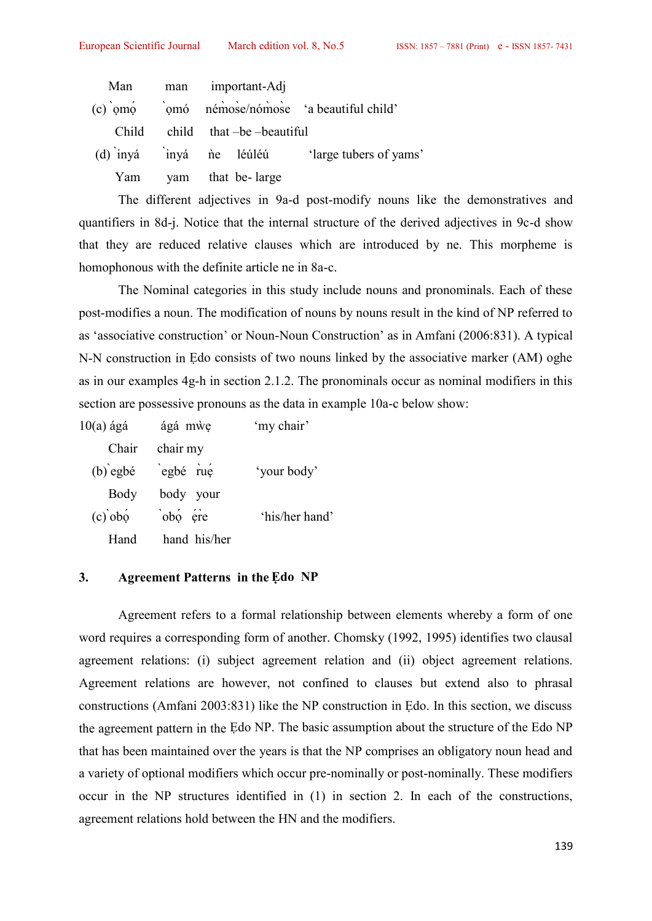|                                                |     | ropean Scientific Journal March edition vol. 8, No.5 |                               |                                                | $ISSN: 1857 - 78$ |
|------------------------------------------------|-----|------------------------------------------------------|-------------------------------|------------------------------------------------|-------------------|
| Man                                            | man | important-Adj                                        |                               |                                                |                   |
| $(c)$ omo omo némose/nómose a beautiful child' |     |                                                      |                               |                                                |                   |
| Child                                          |     |                                                      | $child$ that $-be$ -beautiful |                                                |                   |
|                                                |     |                                                      |                               | (d) inyá inyá ne léúléú 'large tubers of yams' |                   |
| Yam                                            |     | yam that be-large                                    |                               |                                                |                   |

The different adjectives in 9a-d post-modify nouns like the demonstratives and quantifiers in 8d-j. Notice that the internal structure of the derived adjectives in 9c-d show that they are reduced relative clauses which are introduced by ne. This morpheme is homophonous with the definite article ne in 8a-c.

The Nominal categories in this study include nouns and pronominals. Each of these post-modifies a noun. The modification of nouns by nouns result in the kind of NP referred to as 'associative construction' or Noun-Noun Construction' as in Amfani (2006:831). A typical N-N construction in Ẹdo consists of two nouns linked by the associative marker (AM) oghe as in our examples 4g-h in section 2.1.2. The pronominals occur as nominal modifiers in this section are possessive pronouns as the data in example 10a-c below show:

| ágá mwe<br>$10(a)$ ágá |              | 'my chair'     |  |
|------------------------|--------------|----------------|--|
| Chair                  | chair my     |                |  |
| $(b)$ egbé             | egbé rue     | 'your body'    |  |
| Body                   | body your    |                |  |
| $(c)$ obo              | obo ére      | 'his/her hand' |  |
| Hand                   | hand his/her |                |  |

#### **3. Agreement Patterns in the Ẹdo NP**

Agreement refers to a formal relationship between elements whereby a form of one word requires a corresponding form of another. Chomsky (1992, 1995) identifies two clausal agreement relations: (i) subject agreement relation and (ii) object agreement relations. Agreement relations are however, not confined to clauses but extend also to phrasal constructions (Amfani 2003:831) like the NP construction in Ẹdo. In this section, we discuss the agreement pattern in the Ẹdo NP. The basic assumption about the structure of the Edo NP that has been maintained over the years is that the NP comprises an obligatory noun head and a variety of optional modifiers which occur pre-nominally or post-nominally. These modifiers occur in the NP structures identified in (1) in section 2. In each of the constructions, agreement relations hold between the HN and the modifiers.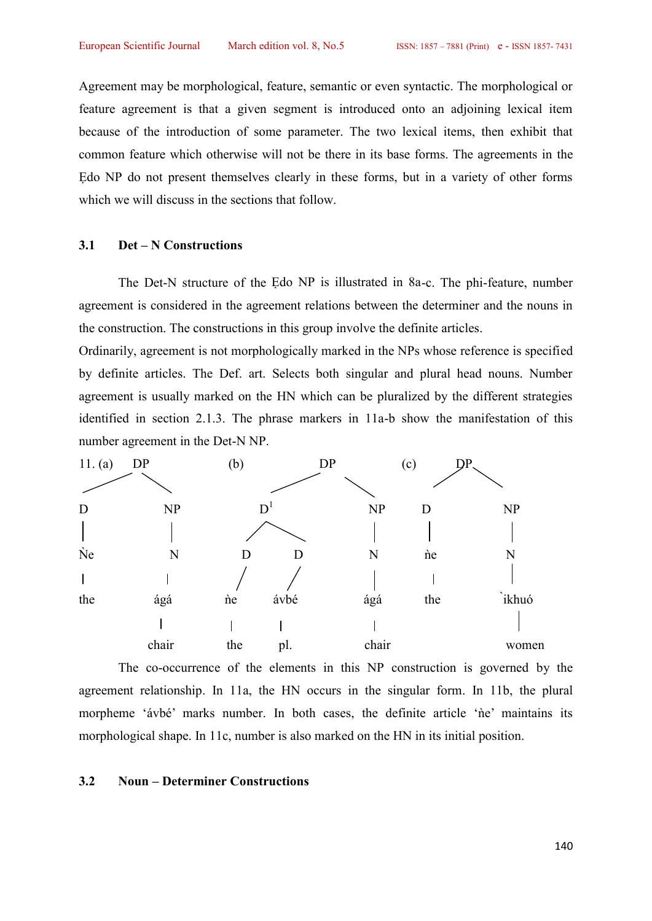Agreement may be morphological, feature, semantic or even syntactic. The morphological or feature agreement is that a given segment is introduced onto an adjoining lexical item because of the introduction of some parameter. The two lexical items, then exhibit that common feature which otherwise will not be there in its base forms. The agreements in the Edo NP do not present themselves clearly in these forms, but in a variety of other forms which we will discuss in the sections that follow.

### **3.1 Det – N Constructions**

The Det-N structure of the Edo NP is illustrated in 8a-c. The phi-feature, number agreement is considered in the agreement relations between the determiner and the nouns in the construction. The constructions in this group involve the definite articles.

Ordinarily, agreement is not morphologically marked in the NPs whose reference is specified by definite articles. The Def. art. Selects both singular and plural head nouns. Number agreement is usually marked on the HN which can be pluralized by the different strategies identified in section 2.1.3. The phrase markers in 11a-b show the manifestation of this number agreement in the Det-N NP.



The co-occurrence of the elements in this NP construction is governed by the agreement relationship. In 11a, the HN occurs in the singular form. In 11b, the plural morpheme 'ávbé' marks number. In both cases, the definite article 'ne' maintains its morphological shape. In 11c, number is also marked on the HN in its initial position.

### **3.2 Noun – Determiner Constructions**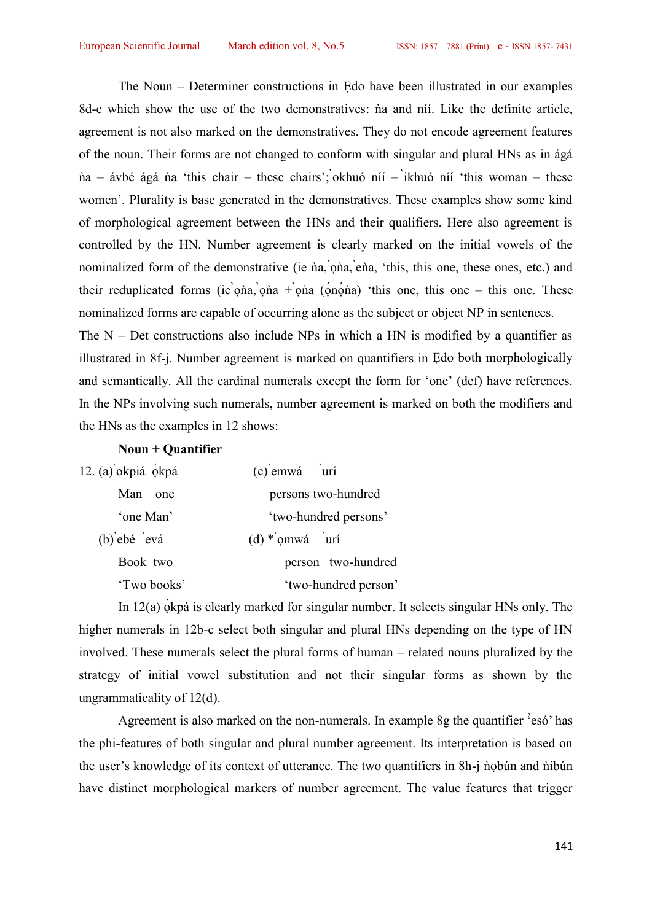The Noun – Determiner constructions in Ẹdo have been illustrated in our examples 8d-e which show the use of the two demonstratives: na and níi. Like the definite article, agreement is not also marked on the demonstratives. They do not encode agreement features of the noun. Their forms are not changed to conform with singular and plural HNs as in ágá na – ávbé ágá na 'this chair – these chairs'; okhuó níí – ikhuó níí 'this woman – these women'. Plurality is base generated in the demonstratives. These examples show some kind of morphological agreement between the HNs and their qualifiers. Here also agreement is controlled by the HN. Number agreement is clearly marked on the initial vowels of the nominalized form of the demonstrative (ie na, ona, ena, 'this, this one, these ones, etc.) and their reduplicated forms (ie ona, ona + ona (onona) 'this one, this one – this one. These nominalized forms are capable of occurring alone as the subject or object NP in sentences. The  $N$  – Det constructions also include NPs in which a HN is modified by a quantifier as illustrated in 8f-j. Number agreement is marked on quantifiers in Ẹdo both morphologically

and semantically. All the cardinal numerals except the form for 'one' (def) have references. In the NPs involving such numerals, number agreement is marked on both the modifiers and the HNs as the examples in 12 shows:

## **Noun + Quantifier**

| 12. $(a)$ okpiá ókpá | $(c)$ emwá urí          |
|----------------------|-------------------------|
| Man one              | persons two-hundred     |
| 'one Man'            | 'two-hundred persons'   |
| $(b)$ ebé evá        | $(d) * \text{omwá}$ urí |
| Book two             | person two-hundred      |
| 'Two books'          | 'two-hundred person'    |

In 12(a) okpá is clearly marked for singular number. It selects singular HNs only. The higher numerals in 12b-c select both singular and plural HNs depending on the type of HN involved. These numerals select the plural forms of human – related nouns pluralized by the strategy of initial vowel substitution and not their singular forms as shown by the ungrammaticality of 12(d).

Agreement is also marked on the non-numerals. In example 8g the quantifier '̀esó' has the phi-features of both singular and plural number agreement. Its interpretation is based on the user's knowledge of its context of utterance. The two quantifiers in 8h-j nobún and nibún have distinct morphological markers of number agreement. The value features that trigger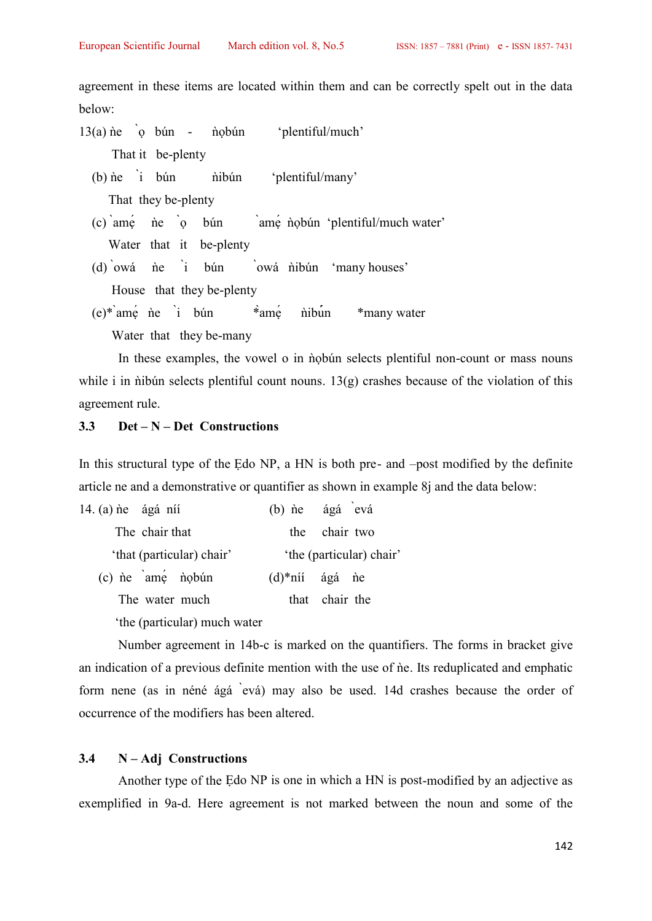agreement in these items are located within them and can be correctly spelt out in the data below:

- $13(a)$  ne  $\alpha$  bún nobún 'plentiful/much' That it be-plenty
	- $(b)$  ne `i bún nibún 'plentiful/many' That they be-plenty
	- $(c)$  ame  $\neq$   $\neq$   $\geq$   $\geq$   $\geq$   $\geq$   $\geq$   $\geq$   $\geq$   $\geq$   $\geq$   $\geq$   $\geq$   $\geq$   $\geq$   $\geq$   $\geq$   $\geq$   $\geq$   $\geq$   $\geq$   $\geq$   $\geq$   $\geq$   $\geq$   $\geq$   $\geq$   $\geq$   $\geq$   $\geq$   $\geq$   $\geq$   $\geq$   $\geq$   $\geq$   $\$ Water that it be-plenty
	- $(d)$ 'owá ne i bún `owá nibún 'many houses' House that they be-plenty
	- $(e)^*$ <sup>a</sup>mẹ<sup> $\dot{e}$ </sup> ne `i bún  $*$ <sup>a</sup>mẹ $\dot{e}$  nibun \*many water Water that they be-many

In these examples, the vowel o in nobún selects plentiful non-count or mass nouns while i in  $\phi$ ibún selects plentiful count nouns. 13(g) crashes because of the violation of this agreement rule.

# **3.3 Det – N – Det Constructions**

In this structural type of the Edo NP, a HN is both pre- and –post modified by the definite article ne and a demonstrative or quantifier as shown in example 8j and the data below:

| 14. $(a)$ ne ágá ní                   |     | (b) ne ágá evá           |  |
|---------------------------------------|-----|--------------------------|--|
| The chair that                        | the | chair two                |  |
| 'that (particular) chair'             |     | 'the (particular) chair' |  |
| $(c)$ ne $\text{am}e \text{ n}$ nobún |     | $(d)$ *níí ágá ne        |  |
| The water much                        |     | that chair the           |  |
| the (particular) much water           |     |                          |  |

Number agreement in 14b-c is marked on the quantifiers. The forms in bracket give an indication of a previous definite mention with the use of ne. Its reduplicated and emphatic form nene (as in néné ágá ̀evá) may also be used. 14d crashes because the order of occurrence of the modifiers has been altered.

### **3.4 N – Adj Constructions**

Another type of the Ẹdo NP is one in which a HN is post-modified by an adjective as exemplified in 9a-d. Here agreement is not marked between the noun and some of the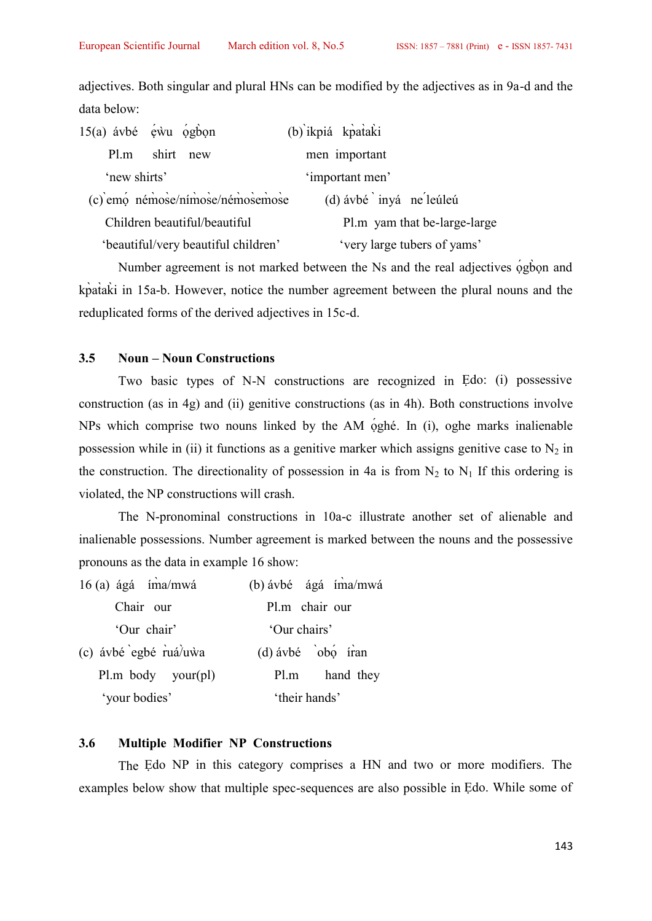adjectives. Both singular and plural HNs can be modified by the adjectives as in 9a-d and the data below:

|              | $15(a)$ ávbé éwu ógbon              | (b) ikpiá kpataki            |  |
|--------------|-------------------------------------|------------------------------|--|
| Pl.m         | shirt new                           | men important                |  |
| 'new shirts' |                                     | 'important men'              |  |
|              | (c) emo némose/nímose/némosemose    | (d) ávbé inyá ne leúleú      |  |
|              | Children beautiful/beautiful        | Pl.m yam that be-large-large |  |
|              | 'beautiful/very beautiful children' | 'very large tubers of yams'  |  |

Number agreement is not marked between the Ns and the real adjectives ogbon and kp̀at̀ak̀i in 15a-b. However, notice the number agreement between the plural nouns and the reduplicated forms of the derived adjectives in 15c-d.

## **3.5 Noun – Noun Constructions**

Two basic types of N-N constructions are recognized in Ẹdo: (i) possessive construction (as in 4g) and (ii) genitive constructions (as in 4h). Both constructions involve NPs which comprise two nouns linked by the AM ọ́ghé. In (i), oghe marks inalienable possession while in (ii) it functions as a genitive marker which assigns genitive case to  $N_2$  in the construction. The directionality of possession in 4a is from  $N_2$  to  $N_1$  If this ordering is violated, the NP constructions will crash.

The N-pronominal constructions in 10a-c illustrate another set of alienable and inalienable possessions. Number agreement is marked between the nouns and the possessive pronouns as the data in example 16 show: 16 (a) formulations in 10a-c illustrate another<br>
16 (a) ágá íma/mwá (b) ávbé ágá íma/mwá<br>
Chair our Pl.m chair our<br>
16 (a) the chair our Pl.m chair our

| 16 (a) ágá íma/mwá    | (b) ávbé ágá íma/mwá |
|-----------------------|----------------------|
| Chair our             | Pl.m chair our       |
| 'Our chair'           | 'Our chairs'         |
| (c) ávbé egbé ruá/uwa | $(d)$ ávbé obo íran  |
| Pl.m. body. your(pl)  | Pl.m hand they       |
| 'your bodies'         | 'their hands'        |

### **3.6 Multiple Modifier NP Constructions**

The Ẹdo NP in this category comprises a HN and two or more modifiers. The examples below show that multiple spec-sequences are also possible in Ẹdo. While some of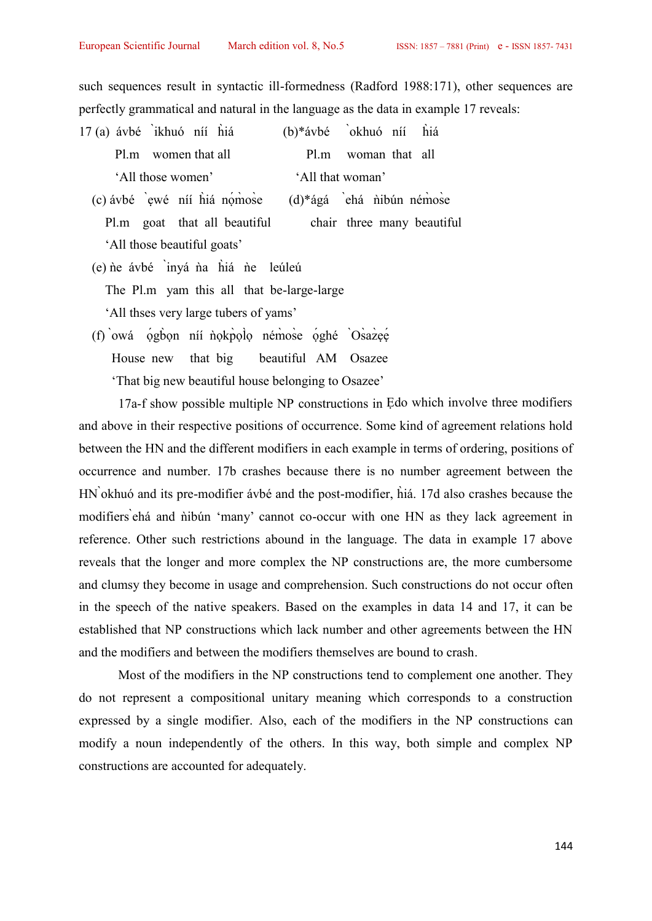such sequences result in syntactic ill-formedness (Radford 1988:171), other sequences are perfectly grammatical and natural in the language as the data in example 17 reveals:

- 17 (a) ávbé ̀ikhuó níí h̀iá (b)\*ávbé ̀okhuó níí h̀iá Pl.m women that all Pl.m woman that all 'All those women' 'All that woman' (a) ávbé `ikhuó níí hìá  $(1)^*$ ávbé `okhuó níí hìá<br>
Pl.m women that all<br>
'All those women' 'All that woman'<br>
(c) ávbé `ewé níí hìá nọ́mò ose  $(d)^*$ ágá `ehá nìbún némò se<br>
Pl.m goat that all beautiful chair three many beauti
	- Pl.m goat that all beautiful chair three many beautiful 'All those beautiful goats'
	- (e) ǹe ávbé ̀inyá ǹa h̀iá ǹe leúleú
		- The Pl.m yam this all that be-large-large

'All thses very large tubers of yams'

(f) owá ọ́gbọn níí nokp̀ọlọ ném̀ose ọ́ghé Òsàazeé<br>House new that big beautiful AM Osazee beautiful AM Osazee 'That big new beautiful house belonging to Osazee'

17a-f show possible multiple NP constructions in Ẹdo which involve three modifiers and above in their respective positions of occurrence. Some kind of agreement relations hold between the HN and the different modifiers in each example in terms of ordering, positions of occurrence and number. 17b crashes because there is no number agreement between the HN ̀okhuó and its pre-modifier ávbé and the post-modifier, h̀iá. 17d also crashes because the modifiers ehá and nibún 'many' cannot co-occur with one HN as they lack agreement in reference. Other such restrictions abound in the language. The data in example 17 above reveals that the longer and more complex the NP constructions are, the more cumbersome and clumsy they become in usage and comprehension. Such constructions do not occur often in the speech of the native speakers. Based on the examples in data 14 and 17, it can be established that NP constructions which lack number and other agreements between the HN and the modifiers and between the modifiers themselves are bound to crash.

Most of the modifiers in the NP constructions tend to complement one another. They do not represent a compositional unitary meaning which corresponds to a construction expressed by a single modifier. Also, each of the modifiers in the NP constructions can modify a noun independently of the others. In this way, both simple and complex NP constructions are accounted for adequately.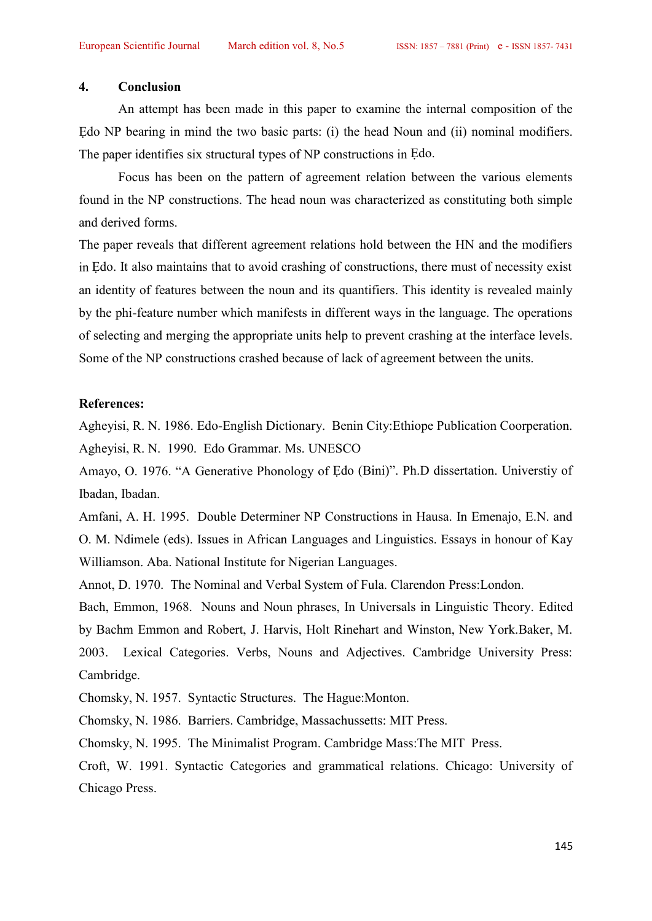### **4. Conclusion**

An attempt has been made in this paper to examine the internal composition of the Edo NP bearing in mind the two basic parts: (i) the head Noun and (ii) nominal modifiers. The paper identifies six structural types of NP constructions in Ẹdo.

Focus has been on the pattern of agreement relation between the various elements found in the NP constructions. The head noun was characterized as constituting both simple and derived forms.

The paper reveals that different agreement relations hold between the HN and the modifiers in Ẹdo. It also maintains that to avoid crashing of constructions, there must of necessity exist an identity of features between the noun and its quantifiers. This identity is revealed mainly by the phi-feature number which manifests in different ways in the language. The operations of selecting and merging the appropriate units help to prevent crashing at the interface levels. Some of the NP constructions crashed because of lack of agreement between the units.

### **References:**

Agheyisi, R. N. 1986. Edo-English Dictionary. Benin City:Ethiope Publication Coorperation. Agheyisi, R. N. 1990. Edo Grammar. Ms. UNESCO

Amayo, O. 1976. "A Generative Phonology of Ẹdo (Bini)". Ph.D dissertation. Universtiy of Ibadan, Ibadan.

Amfani, A. H. 1995. Double Determiner NP Constructions in Hausa. In Emenajo, E.N. and O. M. Ndimele (eds). Issues in African Languages and Linguistics. Essays in honour of Kay Williamson. Aba. National Institute for Nigerian Languages.

Annot, D. 1970. The Nominal and Verbal System of Fula. Clarendon Press:London.

Bach, Emmon, 1968. Nouns and Noun phrases, In Universals in Linguistic Theory. Edited by Bachm Emmon and Robert, J. Harvis, Holt Rinehart and Winston, New York.Baker, M. 2003. Lexical Categories. Verbs, Nouns and Adjectives. Cambridge University Press: Cambridge.

Chomsky, N. 1957. Syntactic Structures. The Hague:Monton.

Chomsky, N. 1986. Barriers. Cambridge, Massachussetts: MIT Press.

Chomsky, N. 1995. The Minimalist Program. Cambridge Mass:The MIT Press.

Croft, W. 1991. Syntactic Categories and grammatical relations. Chicago: University of Chicago Press.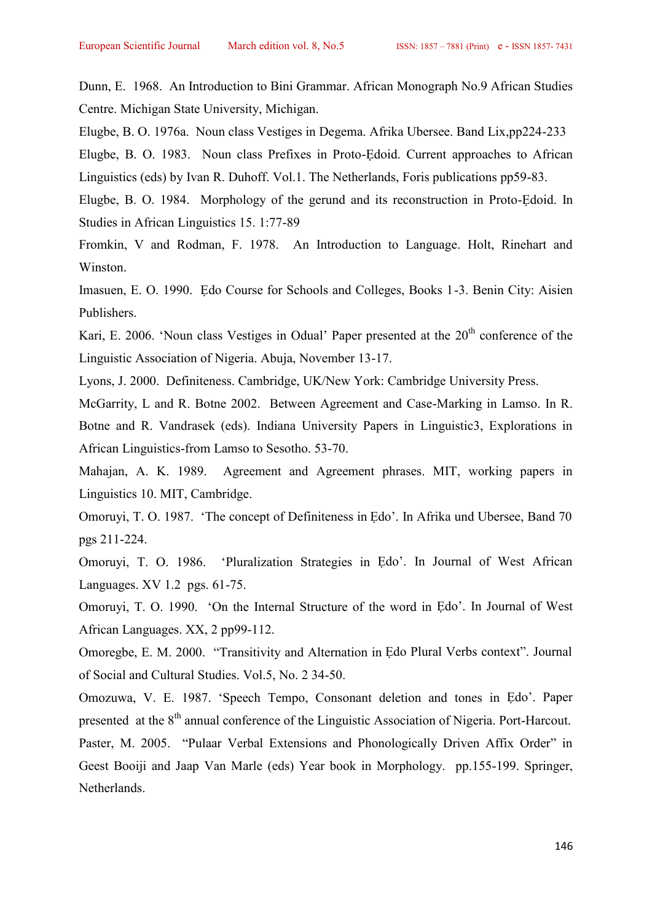Dunn, E. 1968. An Introduction to Bini Grammar. African Monograph No.9 African Studies Centre. Michigan State University, Michigan.

Elugbe, B. O. 1976a. Noun class Vestiges in Degema. Afrika Ubersee. Band Lix,pp224-233

Elugbe, B. O. 1983. Noun class Prefixes in Proto-Ẹdoid. Current approaches to African Linguistics (eds) by Ivan R. Duhoff. Vol.1. The Netherlands, Foris publications pp59-83.

Elugbe, B. O. 1984. Morphology of the gerund and its reconstruction in Proto-Ẹdoid. In Studies in African Linguistics 15. 1:77-89

Fromkin, V and Rodman, F. 1978. An Introduction to Language. Holt, Rinehart and Winston.

Imasuen, E. O. 1990. Ẹdo Course for Schools and Colleges, Books 1-3. Benin City: Aisien Publishers.

Kari, E. 2006. 'Noun class Vestiges in Odual' Paper presented at the 20<sup>th</sup> conference of the Linguistic Association of Nigeria. Abuja, November 13-17.

Lyons, J. 2000. Definiteness. Cambridge, UK/New York: Cambridge University Press.

McGarrity, L and R. Botne 2002. Between Agreement and Case-Marking in Lamso. In R. Botne and R. Vandrasek (eds). Indiana University Papers in Linguistic3, Explorations in African Linguistics-from Lamso to Sesotho. 53-70.

Mahajan, A. K. 1989. Agreement and Agreement phrases. MIT, working papers in Linguistics 10. MIT, Cambridge.

Omoruyi, T. O. 1987. 'The concept of Definiteness in Ẹdo'. In Afrika und Ubersee, Band 70 pgs 211-224.

Omoruyi, T. O. 1986. 'Pluralization Strategies in Ẹdo'. In Journal of West African Languages. XV 1.2 pgs. 61-75.

Omoruyi, T. O. 1990. 'On the Internal Structure of the word in Ẹdo'. In Journal of West African Languages. XX, 2 pp99-112.

Omoregbe, E. M. 2000. "Transitivity and Alternation in Ẹdo Plural Verbs context". Journal of Social and Cultural Studies. Vol.5, No. 2 34-50.

Omozuwa, V. E. 1987. 'Speech Tempo, Consonant deletion and tones in Ẹdo'. Paper presented at the 8<sup>th</sup> annual conference of the Linguistic Association of Nigeria. Port-Harcout. Paster, M. 2005. "Pulaar Verbal Extensions and Phonologically Driven Affix Order" in Geest Booiji and Jaap Van Marle (eds) Year book in Morphology. pp.155-199. Springer, Netherlands.